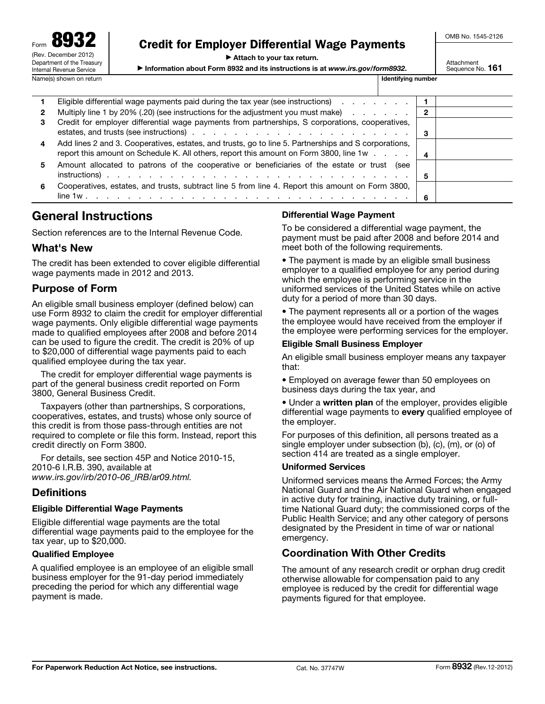Form 8932 (Rev. December 2012) Department of the Treasury Internal Revenue Service Name(s) shown on return in the state of the state of the state of the state of the state of the state of the state of the state of the state of the state of the state of the state of the state of the state of the state of

# Credit for Employer Differential Wage Payments

▶ Attach to your tax return.

▶ Information about Form 8932 and its instructions is at *www.irs.gov/form8932*.

OMB No. 1545-2126

Attachment Sequence No. 161

|              | Eligible differential wage payments paid during the tax year (see instructions)                                                                                                                |    |  |
|--------------|------------------------------------------------------------------------------------------------------------------------------------------------------------------------------------------------|----|--|
| $\mathbf{2}$ | Multiply line 1 by 20% (.20) (see instructions for the adjustment you must make)                                                                                                               |    |  |
| З.           | Credit for employer differential wage payments from partnerships, S corporations, cooperatives,                                                                                                |    |  |
| 4            | Add lines 2 and 3. Cooperatives, estates, and trusts, go to line 5. Partnerships and S corporations,<br>report this amount on Schedule K. All others, report this amount on Form 3800, line 1w | 4  |  |
| 5.           | Amount allocated to patrons of the cooperative or beneficiaries of the estate or trust (see                                                                                                    | 5  |  |
| 6            | Cooperatives, estates, and trusts, subtract line 5 from line 4. Report this amount on Form 3800,                                                                                               | -6 |  |

# General Instructions

Section references are to the Internal Revenue Code.

### What's New

The credit has been extended to cover eligible differential wage payments made in 2012 and 2013.

### Purpose of Form

An eligible small business employer (defined below) can use Form 8932 to claim the credit for employer differential wage payments. Only eligible differential wage payments made to qualified employees after 2008 and before 2014 can be used to figure the credit. The credit is 20% of up to \$20,000 of differential wage payments paid to each qualified employee during the tax year.

The credit for employer differential wage payments is part of the general business credit reported on Form 3800, General Business Credit.

Taxpayers (other than partnerships, S corporations, cooperatives, estates, and trusts) whose only source of this credit is from those pass-through entities are not required to complete or file this form. Instead, report this credit directly on Form 3800.

For details, see section 45P and Notice 2010-15, 2010-6 I.R.B. 390, available at *www.irs.gov/irb/2010-06\_IRB/ar09.html.*

### **Definitions**

#### Eligible Differential Wage Payments

Eligible differential wage payments are the total differential wage payments paid to the employee for the tax year, up to \$20,000.

#### Qualified Employee

A qualified employee is an employee of an eligible small business employer for the 91-day period immediately preceding the period for which any differential wage payment is made.

### Differential Wage Payment

To be considered a differential wage payment, the payment must be paid after 2008 and before 2014 and meet both of the following requirements.

• The payment is made by an eligible small business employer to a qualified employee for any period during which the employee is performing service in the uniformed services of the United States while on active duty for a period of more than 30 days.

• The payment represents all or a portion of the wages the employee would have received from the employer if the employee were performing services for the employer.

#### Eligible Small Business Employer

An eligible small business employer means any taxpayer that:

• Employed on average fewer than 50 employees on business days during the tax year, and

• Under a written plan of the employer, provides eligible differential wage payments to **every** qualified employee of the employer.

For purposes of this definition, all persons treated as a single employer under subsection (b), (c), (m), or (o) of section 414 are treated as a single employer.

#### Uniformed Services

Uniformed services means the Armed Forces; the Army National Guard and the Air National Guard when engaged in active duty for training, inactive duty training, or fulltime National Guard duty; the commissioned corps of the Public Health Service; and any other category of persons designated by the President in time of war or national emergency.

### Coordination With Other Credits

The amount of any research credit or orphan drug credit otherwise allowable for compensation paid to any employee is reduced by the credit for differential wage payments figured for that employee.